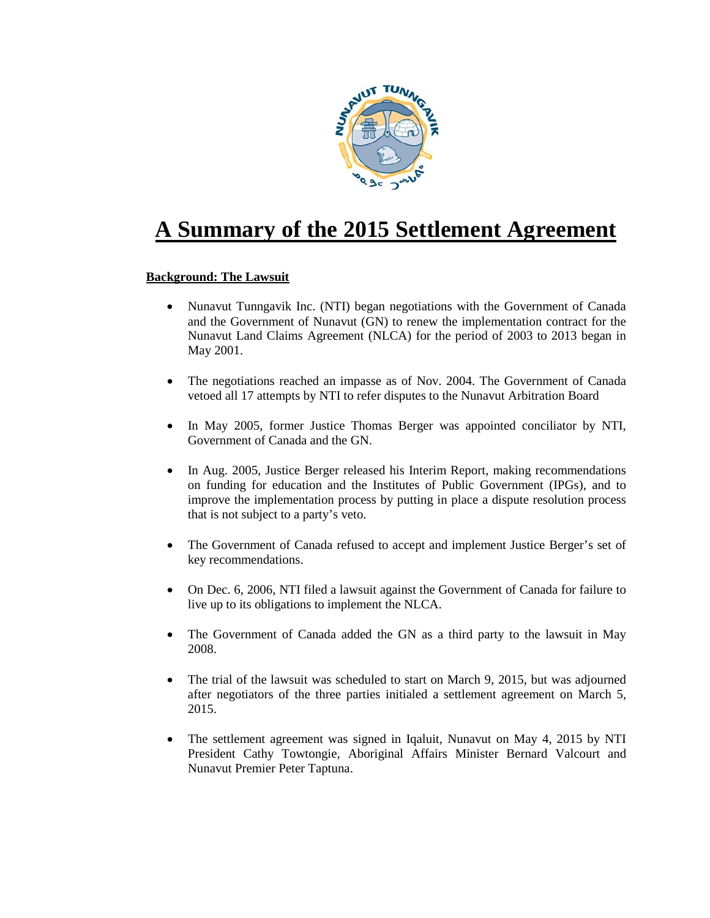

# **A Summary of the 2015 Settlement Agreement**

# **Background: The Lawsuit**

- Nunavut Tunngavik Inc. (NTI) began negotiations with the Government of Canada and the Government of Nunavut (GN) to renew the implementation contract for the Nunavut Land Claims Agreement (NLCA) for the period of 2003 to 2013 began in May 2001.
- The negotiations reached an impasse as of Nov. 2004. The Government of Canada vetoed all 17 attempts by NTI to refer disputes to the Nunavut Arbitration Board
- In May 2005, former Justice Thomas Berger was appointed conciliator by NTI, Government of Canada and the GN.
- In Aug. 2005, Justice Berger released his Interim Report, making recommendations on funding for education and the Institutes of Public Government (IPGs), and to improve the implementation process by putting in place a dispute resolution process that is not subject to a party's veto.
- The Government of Canada refused to accept and implement Justice Berger's set of key recommendations.
- On Dec. 6, 2006, NTI filed a lawsuit against the Government of Canada for failure to live up to its obligations to implement the NLCA.
- The Government of Canada added the GN as a third party to the lawsuit in May 2008.
- The trial of the lawsuit was scheduled to start on March 9, 2015, but was adjourned after negotiators of the three parties initialed a settlement agreement on March 5, 2015.
- The settlement agreement was signed in Iqaluit, Nunavut on May 4, 2015 by NTI President Cathy Towtongie, Aboriginal Affairs Minister Bernard Valcourt and Nunavut Premier Peter Taptuna.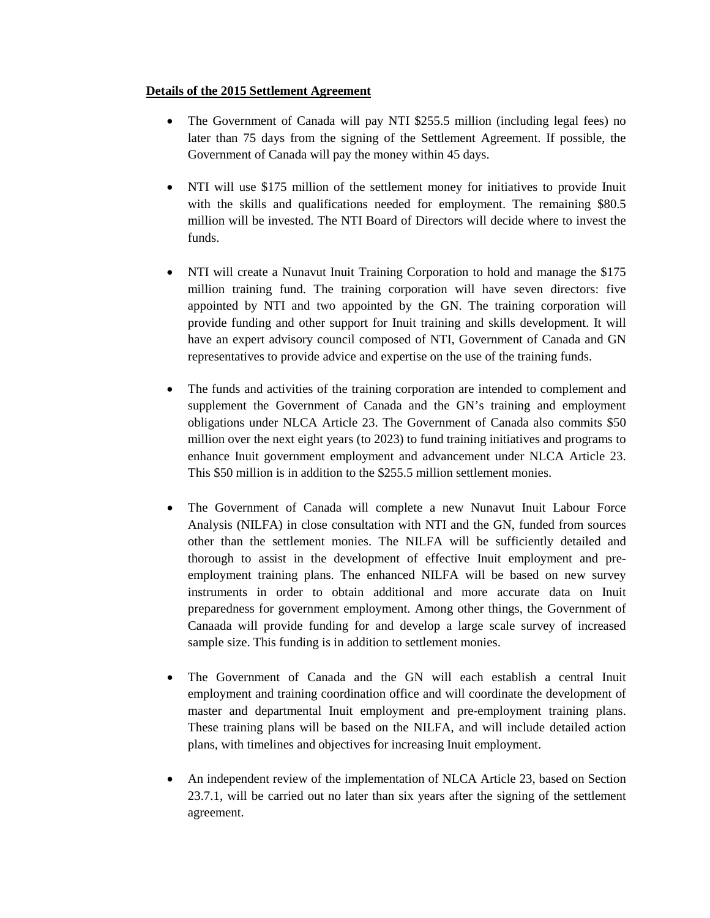## **Details of the 2015 Settlement Agreement**

- The Government of Canada will pay NTI \$255.5 million (including legal fees) no later than 75 days from the signing of the Settlement Agreement. If possible, the Government of Canada will pay the money within 45 days.
- NTI will use \$175 million of the settlement money for initiatives to provide Inuit with the skills and qualifications needed for employment. The remaining \$80.5 million will be invested. The NTI Board of Directors will decide where to invest the funds.
- NTI will create a Nunavut Inuit Training Corporation to hold and manage the \$175 million training fund. The training corporation will have seven directors: five appointed by NTI and two appointed by the GN. The training corporation will provide funding and other support for Inuit training and skills development. It will have an expert advisory council composed of NTI, Government of Canada and GN representatives to provide advice and expertise on the use of the training funds.
- The funds and activities of the training corporation are intended to complement and supplement the Government of Canada and the GN's training and employment obligations under NLCA Article 23. The Government of Canada also commits \$50 million over the next eight years (to 2023) to fund training initiatives and programs to enhance Inuit government employment and advancement under NLCA Article 23. This \$50 million is in addition to the \$255.5 million settlement monies.
- The Government of Canada will complete a new Nunavut Inuit Labour Force Analysis (NILFA) in close consultation with NTI and the GN, funded from sources other than the settlement monies. The NILFA will be sufficiently detailed and thorough to assist in the development of effective Inuit employment and preemployment training plans. The enhanced NILFA will be based on new survey instruments in order to obtain additional and more accurate data on Inuit preparedness for government employment. Among other things, the Government of Canaada will provide funding for and develop a large scale survey of increased sample size. This funding is in addition to settlement monies.
- The Government of Canada and the GN will each establish a central Inuit employment and training coordination office and will coordinate the development of master and departmental Inuit employment and pre-employment training plans. These training plans will be based on the NILFA, and will include detailed action plans, with timelines and objectives for increasing Inuit employment.
- An independent review of the implementation of NLCA Article 23, based on Section 23.7.1, will be carried out no later than six years after the signing of the settlement agreement.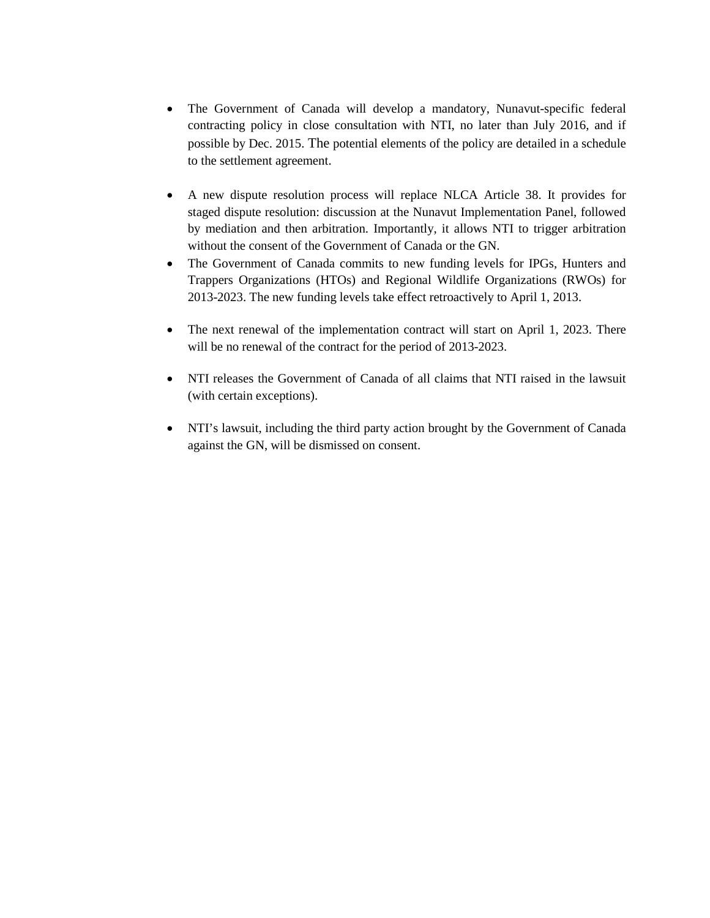- The Government of Canada will develop a mandatory, Nunavut-specific federal contracting policy in close consultation with NTI, no later than July 2016, and if possible by Dec. 2015. The potential elements of the policy are detailed in a schedule to the settlement agreement.
- A new dispute resolution process will replace NLCA Article 38. It provides for staged dispute resolution: discussion at the Nunavut Implementation Panel, followed by mediation and then arbitration. Importantly, it allows NTI to trigger arbitration without the consent of the Government of Canada or the GN.
- The Government of Canada commits to new funding levels for IPGs, Hunters and Trappers Organizations (HTOs) and Regional Wildlife Organizations (RWOs) for 2013-2023. The new funding levels take effect retroactively to April 1, 2013.
- The next renewal of the implementation contract will start on April 1, 2023. There will be no renewal of the contract for the period of 2013-2023.
- NTI releases the Government of Canada of all claims that NTI raised in the lawsuit (with certain exceptions).
- NTI's lawsuit, including the third party action brought by the Government of Canada against the GN, will be dismissed on consent.